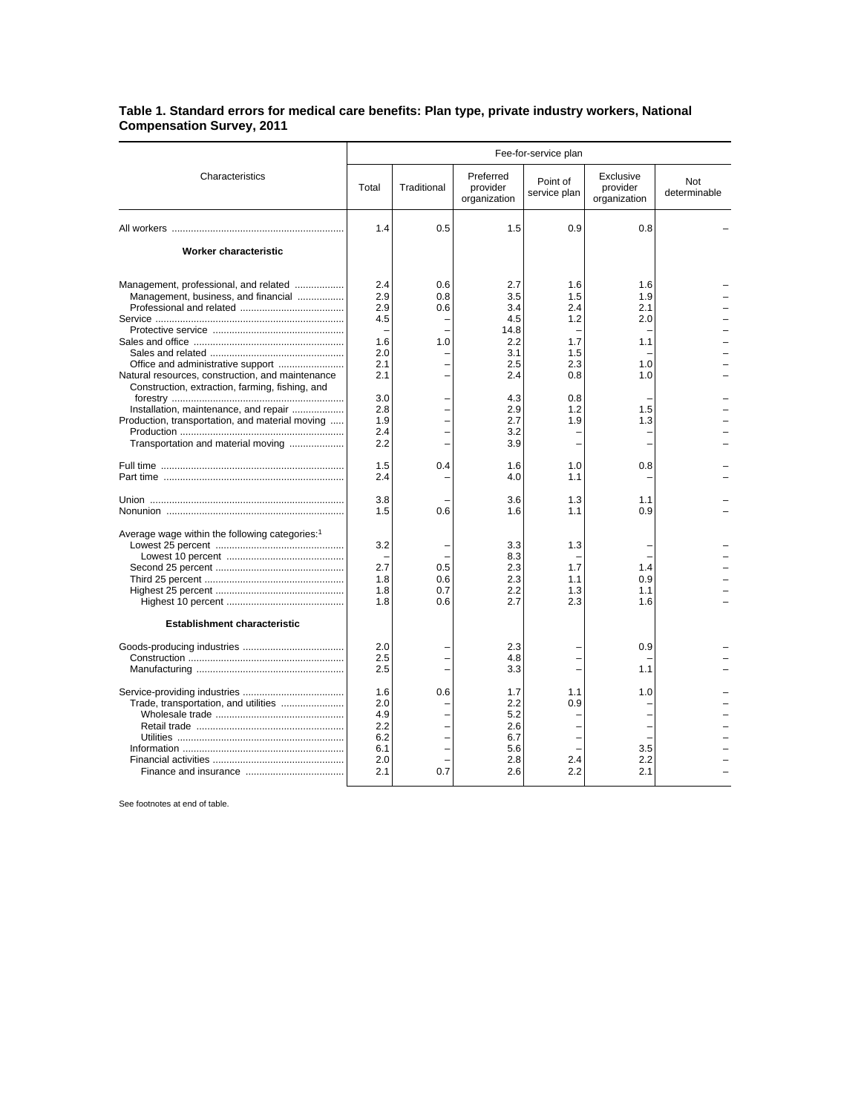## **Table 1. Standard errors for medical care benefits: Plan type, private industry workers, National Compensation Survey, 2011**

|                                                                                                                                                                                                                                                                                 | Fee-for-service plan                                                             |                          |                                                                                          |                                                                           |                                                             |                     |
|---------------------------------------------------------------------------------------------------------------------------------------------------------------------------------------------------------------------------------------------------------------------------------|----------------------------------------------------------------------------------|--------------------------|------------------------------------------------------------------------------------------|---------------------------------------------------------------------------|-------------------------------------------------------------|---------------------|
| Characteristics                                                                                                                                                                                                                                                                 | Total                                                                            | Traditional              | Preferred<br>provider<br>organization                                                    | Point of<br>service plan                                                  | Exclusive<br>provider<br>organization                       | Not<br>determinable |
|                                                                                                                                                                                                                                                                                 | 1.4                                                                              | 0.5                      | 1.5                                                                                      | 0.9                                                                       | 0.8                                                         |                     |
| <b>Worker characteristic</b>                                                                                                                                                                                                                                                    |                                                                                  |                          |                                                                                          |                                                                           |                                                             |                     |
| Management, professional, and related<br>Management, business, and financial<br>Natural resources, construction, and maintenance<br>Construction, extraction, farming, fishing, and<br>Installation, maintenance, and repair<br>Production, transportation, and material moving | 2.4<br>2.9<br>2.9<br>4.5<br>1.6<br>2.0<br>2.1<br>2.1<br>3.0<br>2.8<br>1.9<br>2.4 | 0.6<br>0.8<br>0.6<br>1.0 | 2.7<br>3.5<br>3.4<br>4.5<br>14.8<br>2.2<br>3.1<br>2.5<br>2.4<br>4.3<br>2.9<br>2.7<br>3.2 | 1.6<br>1.5<br>2.4<br>1.2<br>1.7<br>1.5<br>2.3<br>0.8<br>0.8<br>1.2<br>1.9 | 1.6<br>1.9<br>2.1<br>2.0<br>1.1<br>1.0<br>1.0<br>1.5<br>1.3 |                     |
| Transportation and material moving                                                                                                                                                                                                                                              | 2.2                                                                              |                          | 3.9                                                                                      |                                                                           |                                                             |                     |
|                                                                                                                                                                                                                                                                                 | 1.5<br>2.4                                                                       | 0.4                      | 1.6<br>4.0                                                                               | 1.0<br>1.1                                                                | 0.8                                                         |                     |
|                                                                                                                                                                                                                                                                                 | 3.8<br>1.5                                                                       | 0.6                      | 3.6<br>1.6                                                                               | 1.3<br>1.1                                                                | 1.1<br>0.9                                                  |                     |
| Average wage within the following categories: <sup>1</sup>                                                                                                                                                                                                                      | 3.2<br>2.7<br>1.8<br>1.8<br>1.8                                                  | 0.5<br>0.6<br>0.7<br>0.6 | 3.3<br>8.3<br>2.3<br>2.3<br>2.2<br>2.7                                                   | 1.3<br>1.7<br>1.1<br>1.3<br>2.3                                           | 1.4<br>0.9<br>1.1<br>1.6                                    |                     |
| <b>Establishment characteristic</b>                                                                                                                                                                                                                                             |                                                                                  |                          |                                                                                          |                                                                           |                                                             |                     |
|                                                                                                                                                                                                                                                                                 | 2.0<br>2.5<br>2.5                                                                |                          | 2.3<br>4.8<br>3.3                                                                        |                                                                           | 0.9<br>1.1                                                  |                     |
| Trade, transportation, and utilities                                                                                                                                                                                                                                            | 1.6<br>2.0<br>4.9<br>2.2<br>6.2<br>6.1<br>2.0<br>2.1                             | 0.6<br>0.7               | 1.7<br>2.2<br>5.2<br>2.6<br>6.7<br>5.6<br>2.8<br>2.6                                     | 1.1<br>0.9<br>2.4<br>2.2                                                  | 1.0<br>3.5<br>2.2<br>2.1                                    |                     |

See footnotes at end of table.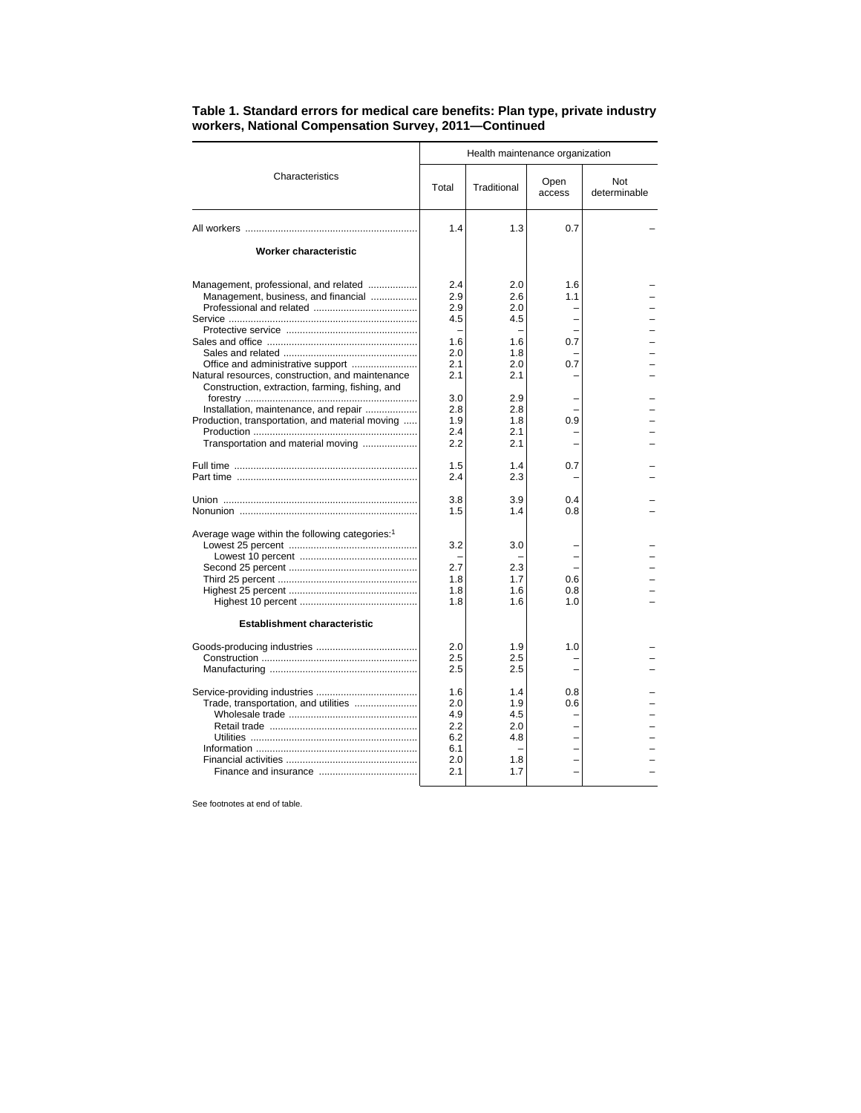|                                                                                                                                             | Health maintenance organization                      |                                               |                   |                     |  |  |
|---------------------------------------------------------------------------------------------------------------------------------------------|------------------------------------------------------|-----------------------------------------------|-------------------|---------------------|--|--|
| Characteristics                                                                                                                             | Total                                                | Traditional                                   | Open<br>access    | Not<br>determinable |  |  |
|                                                                                                                                             | 1.4                                                  | 1.3                                           | 0.7               |                     |  |  |
| Worker characteristic                                                                                                                       |                                                      |                                               |                   |                     |  |  |
| Management, professional, and related<br>Management, business, and financial                                                                | 2.4<br>2.9<br>2.9<br>4.5                             | 2.0<br>2.6<br>2.0<br>4.5                      | 1.6<br>1.1        |                     |  |  |
| Natural resources, construction, and maintenance                                                                                            | 1.6<br>2.0<br>2.1<br>2.1                             | 1.6<br>1.8<br>2.0<br>2.1                      | 0.7<br>0.7        |                     |  |  |
| Construction, extraction, farming, fishing, and<br>Installation, maintenance, and repair<br>Production, transportation, and material moving | 3.0<br>2.8<br>1.9<br>2.4                             | 2.9<br>2.8<br>1.8<br>2.1                      | 0.9               |                     |  |  |
| Transportation and material moving                                                                                                          | 2.2                                                  | 2.1                                           |                   |                     |  |  |
|                                                                                                                                             | 1.5<br>2.4                                           | 1.4<br>2.3                                    | 0.7               |                     |  |  |
|                                                                                                                                             | 3.8<br>1.5                                           | 3.9<br>1.4                                    | 0.4<br>0.8        |                     |  |  |
| Average wage within the following categories: <sup>1</sup>                                                                                  | 3.2                                                  | 3.0                                           |                   |                     |  |  |
|                                                                                                                                             | 2.7<br>1.8<br>1.8<br>1.8                             | 2.3<br>1.7<br>1.6<br>1.6                      | 0.6<br>0.8<br>1.0 |                     |  |  |
| <b>Establishment characteristic</b>                                                                                                         |                                                      |                                               |                   |                     |  |  |
|                                                                                                                                             | 2.0<br>2.5<br>2.5                                    | 1.9<br>2.5<br>2.5                             | 1.0               |                     |  |  |
| Trade, transportation, and utilities                                                                                                        | 1.6<br>2.0<br>4.9<br>2.2<br>6.2<br>6.1<br>2.0<br>2.1 | 1.4<br>1.9<br>4.5<br>2.0<br>4.8<br>1.8<br>1.7 | 0.8<br>0.6        |                     |  |  |

## **Table 1. Standard errors for medical care benefits: Plan type, private industry workers, National Compensation Survey, 2011—Continued**

See footnotes at end of table.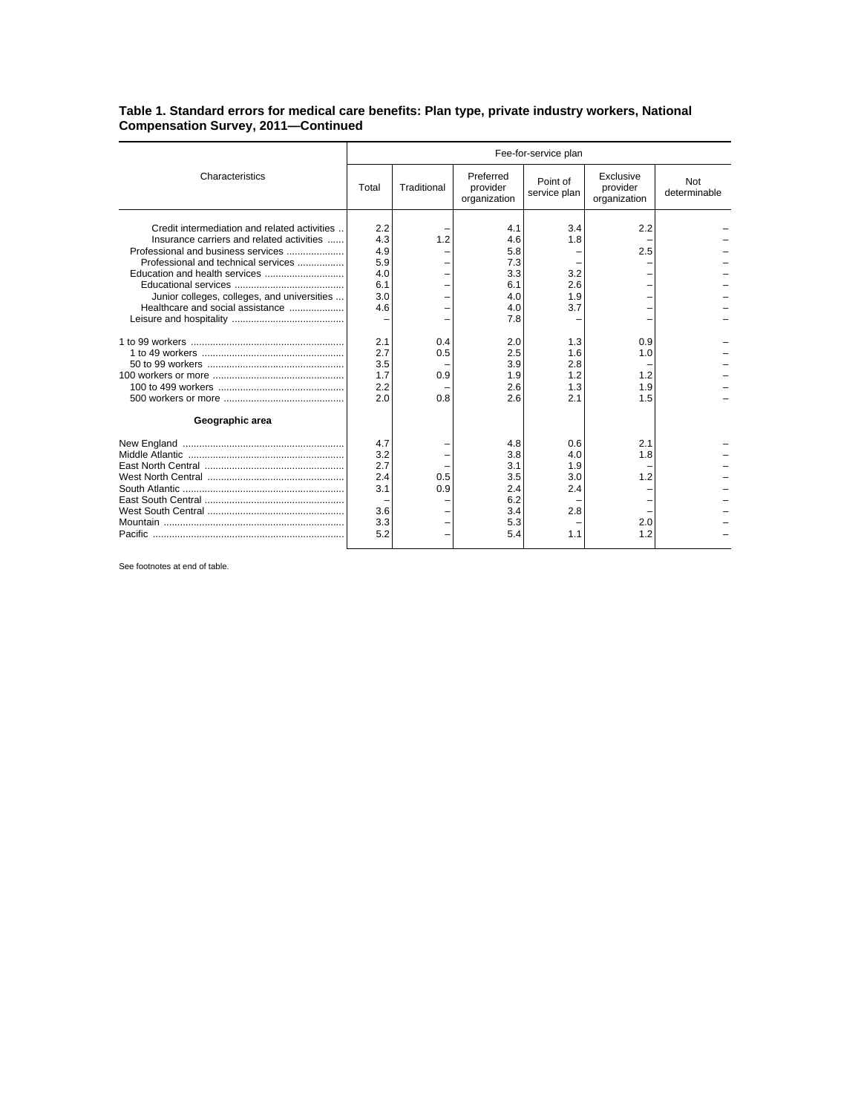## **Table 1. Standard errors for medical care benefits: Plan type, private industry workers, National Compensation Survey, 2011—Continued**

|                                                                                                                                                                                                                                                           | Fee-for-service plan                                                      |                   |                                                                                  |                                                             |                                       |                     |
|-----------------------------------------------------------------------------------------------------------------------------------------------------------------------------------------------------------------------------------------------------------|---------------------------------------------------------------------------|-------------------|----------------------------------------------------------------------------------|-------------------------------------------------------------|---------------------------------------|---------------------|
| Characteristics                                                                                                                                                                                                                                           | Total                                                                     | Traditional       | Preferred<br>provider<br>organization                                            | Point of<br>service plan                                    | Exclusive<br>provider<br>organization | Not<br>determinable |
| Credit intermediation and related activities<br>Insurance carriers and related activities<br>Professional and business services<br>Professional and technical services<br>Junior colleges, colleges, and universities<br>Healthcare and social assistance | 2.2<br>4.3<br>4.9<br>5.9<br>4.0<br>6.1<br>3.0<br>4.6<br>2.1<br>2.7<br>3.5 | 1.2<br>0.4<br>0.5 | 4.1<br>4.6<br>5.8<br>7.3<br>3.3<br>6.1<br>4.0<br>4.0<br>7.8<br>2.0<br>2.5<br>3.9 | 3.4<br>1.8<br>3.2<br>2.6<br>1.9<br>3.7<br>1.3<br>1.6<br>2.8 | 2.2<br>2.5<br>0.9<br>1.0              |                     |
|                                                                                                                                                                                                                                                           | 1.7<br>2.2<br>2.0                                                         | 0.9<br>0.8        | 1.9<br>2.6<br>2.6                                                                | 1.2<br>1.3<br>2.1                                           | 1.2<br>1.9<br>1.5                     |                     |
| Geographic area                                                                                                                                                                                                                                           |                                                                           |                   |                                                                                  |                                                             |                                       |                     |
|                                                                                                                                                                                                                                                           | 4.7<br>3.2<br>2.7<br>2.4<br>3.1<br>3.6<br>3.3<br>5.2                      | 0.5<br>0.9        | 4.8<br>3.8<br>3.1<br>3.5<br>2.4<br>6.2<br>3.4<br>5.3<br>5.4                      | 0.6<br>4.0<br>1.9<br>3.0<br>2.4<br>2.8<br>1.1               | 2.1<br>1.8<br>1.2<br>2.0<br>1.2       |                     |

See footnotes at end of table.